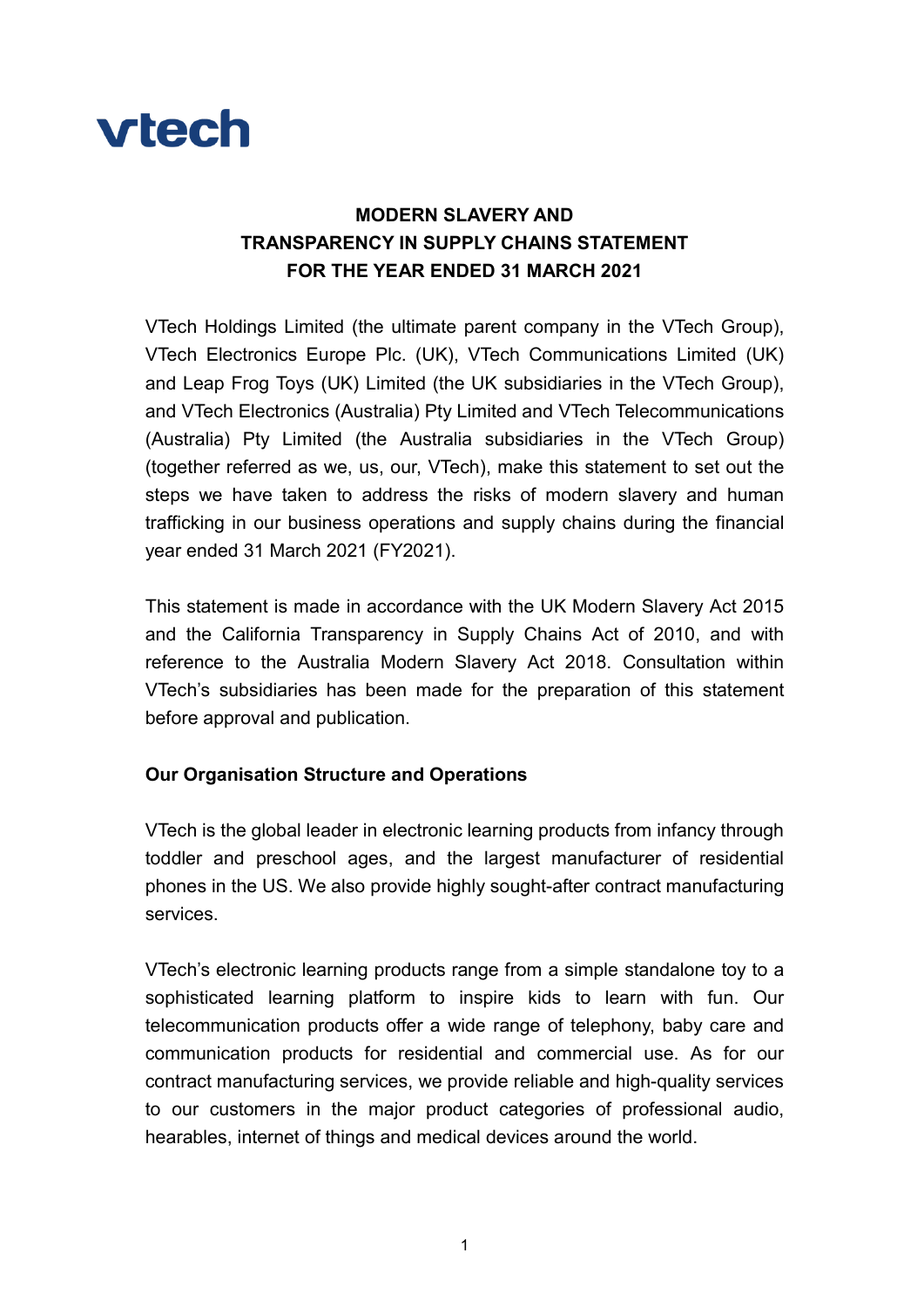

# MODERN SLAVERY AND TRANSPARENCY IN SUPPLY CHAINS STATEMENT FOR THE YEAR ENDED 31 MARCH 2021

VTech Holdings Limited (the ultimate parent company in the VTech Group), VTech Electronics Europe Plc. (UK), VTech Communications Limited (UK) and Leap Frog Toys (UK) Limited (the UK subsidiaries in the VTech Group), and VTech Electronics (Australia) Pty Limited and VTech Telecommunications (Australia) Pty Limited (the Australia subsidiaries in the VTech Group) (together referred as we, us, our, VTech), make this statement to set out the steps we have taken to address the risks of modern slavery and human trafficking in our business operations and supply chains during the financial year ended 31 March 2021 (FY2021).

This statement is made in accordance with the UK Modern Slavery Act 2015 and the California Transparency in Supply Chains Act of 2010, and with reference to the Australia Modern Slavery Act 2018. Consultation within VTech's subsidiaries has been made for the preparation of this statement before approval and publication.

# Our Organisation Structure and Operations

VTech is the global leader in electronic learning products from infancy through toddler and preschool ages, and the largest manufacturer of residential phones in the US. We also provide highly sought-after contract manufacturing services.

VTech's electronic learning products range from a simple standalone toy to a sophisticated learning platform to inspire kids to learn with fun. Our telecommunication products offer a wide range of telephony, baby care and communication products for residential and commercial use. As for our contract manufacturing services, we provide reliable and high-quality services to our customers in the major product categories of professional audio, hearables, internet of things and medical devices around the world.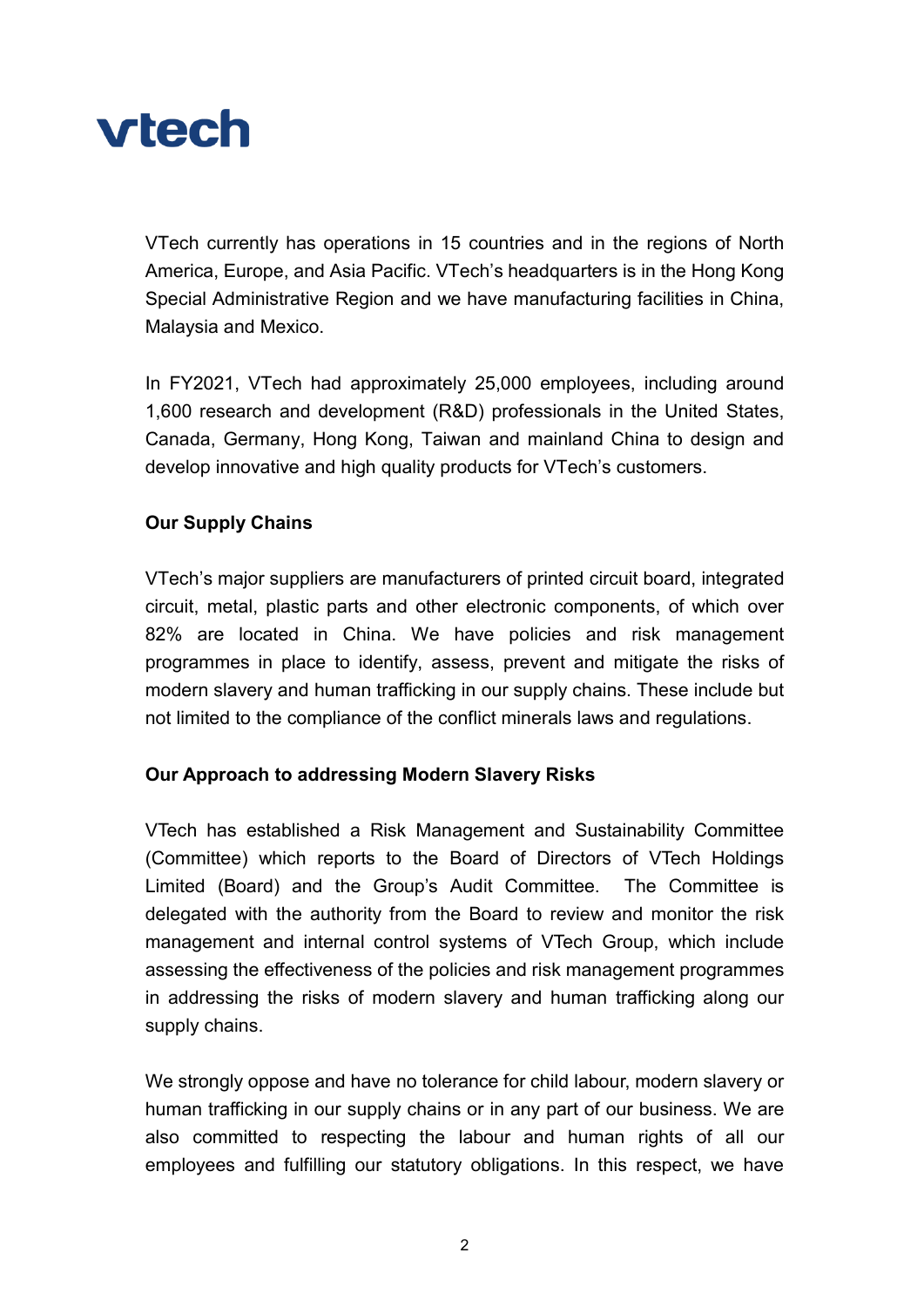

VTech currently has operations in 15 countries and in the regions of North America, Europe, and Asia Pacific. VTech's headquarters is in the Hong Kong Special Administrative Region and we have manufacturing facilities in China, Malaysia and Mexico.

In FY2021, VTech had approximately 25,000 employees, including around 1,600 research and development (R&D) professionals in the United States, Canada, Germany, Hong Kong, Taiwan and mainland China to design and develop innovative and high quality products for VTech's customers.

# Our Supply Chains

VTech's major suppliers are manufacturers of printed circuit board, integrated circuit, metal, plastic parts and other electronic components, of which over 82% are located in China. We have policies and risk management programmes in place to identify, assess, prevent and mitigate the risks of modern slavery and human trafficking in our supply chains. These include but not limited to the compliance of the conflict minerals laws and regulations.

# Our Approach to addressing Modern Slavery Risks

VTech has established a Risk Management and Sustainability Committee (Committee) which reports to the Board of Directors of VTech Holdings Limited (Board) and the Group's Audit Committee. The Committee is delegated with the authority from the Board to review and monitor the risk management and internal control systems of VTech Group, which include assessing the effectiveness of the policies and risk management programmes in addressing the risks of modern slavery and human trafficking along our supply chains.

We strongly oppose and have no tolerance for child labour, modern slavery or human trafficking in our supply chains or in any part of our business. We are also committed to respecting the labour and human rights of all our employees and fulfilling our statutory obligations. In this respect, we have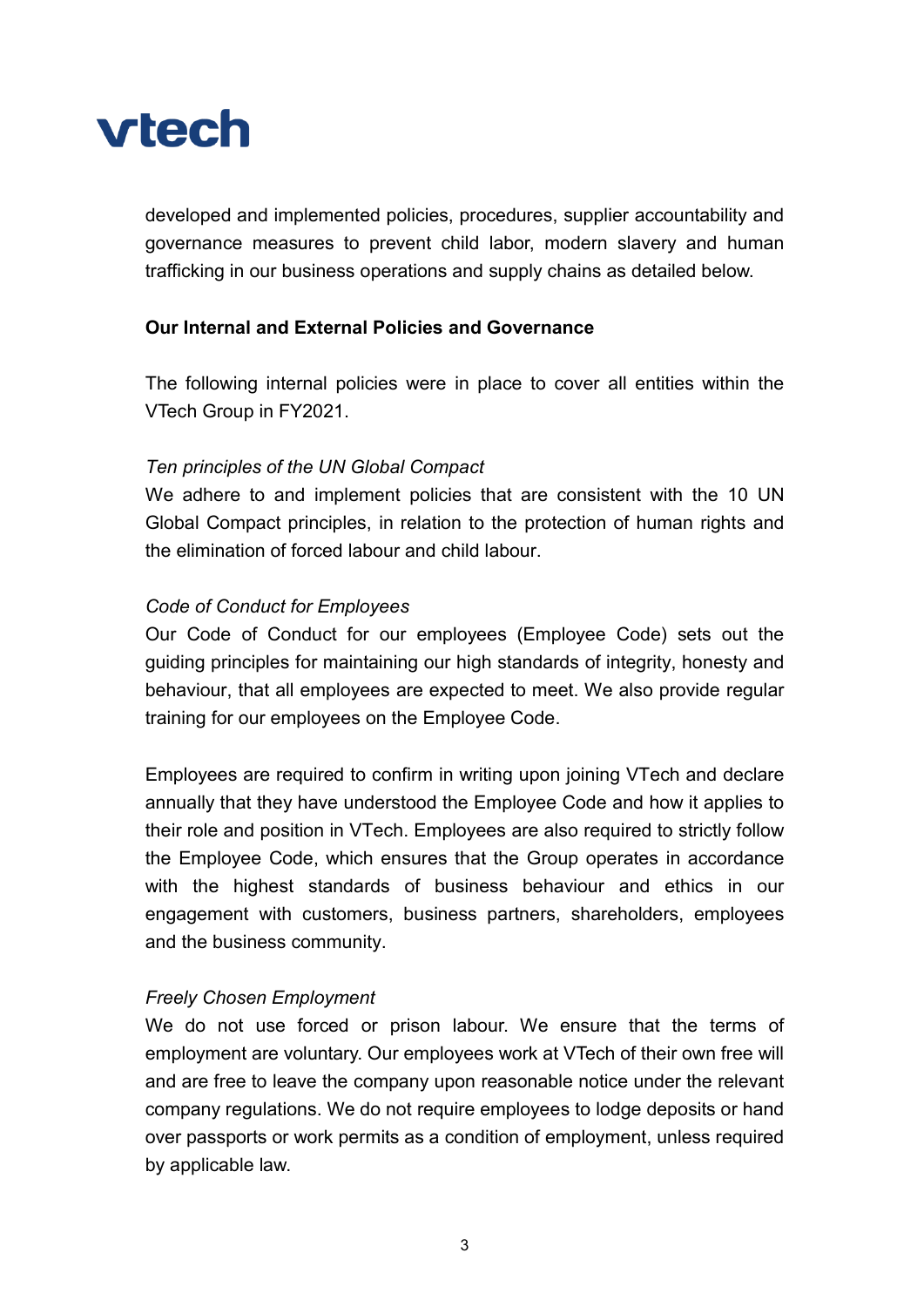

developed and implemented policies, procedures, supplier accountability and governance measures to prevent child labor, modern slavery and human trafficking in our business operations and supply chains as detailed below.

#### Our Internal and External Policies and Governance

The following internal policies were in place to cover all entities within the VTech Group in FY2021.

#### Ten principles of the UN Global Compact

We adhere to and implement policies that are consistent with the 10 UN Global Compact principles, in relation to the protection of human rights and the elimination of forced labour and child labour.

#### Code of Conduct for Employees

Our Code of Conduct for our employees (Employee Code) sets out the guiding principles for maintaining our high standards of integrity, honesty and behaviour, that all employees are expected to meet. We also provide regular training for our employees on the Employee Code.

Employees are required to confirm in writing upon joining VTech and declare annually that they have understood the Employee Code and how it applies to their role and position in VTech. Employees are also required to strictly follow the Employee Code, which ensures that the Group operates in accordance with the highest standards of business behaviour and ethics in our engagement with customers, business partners, shareholders, employees and the business community.

#### Freely Chosen Employment

We do not use forced or prison labour. We ensure that the terms of employment are voluntary. Our employees work at VTech of their own free will and are free to leave the company upon reasonable notice under the relevant company regulations. We do not require employees to lodge deposits or hand over passports or work permits as a condition of employment, unless required by applicable law.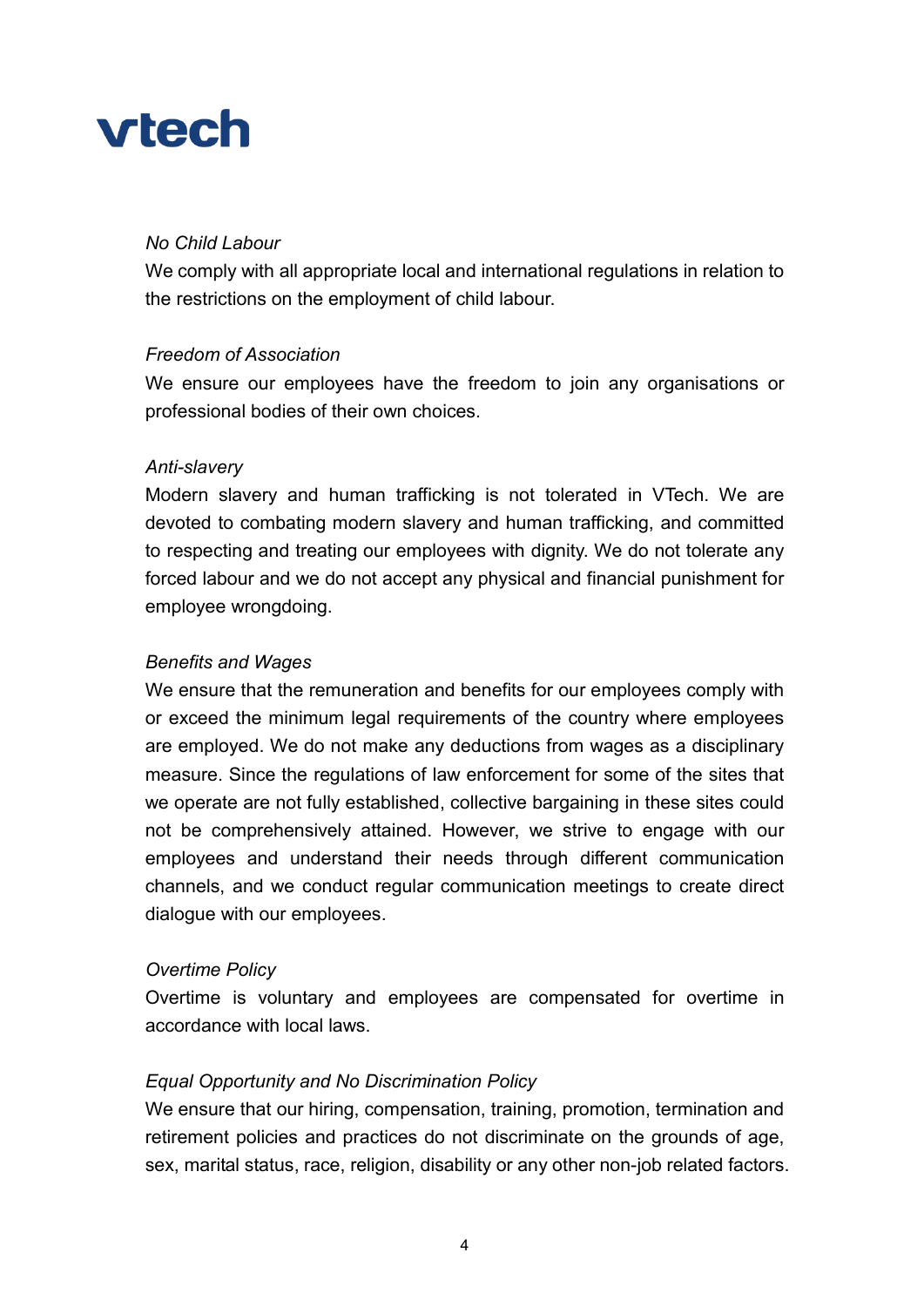# **vtech**

# No Child Labour

We comply with all appropriate local and international regulations in relation to the restrictions on the employment of child labour.

### Freedom of Association

We ensure our employees have the freedom to join any organisations or professional bodies of their own choices.

#### Anti-slavery

Modern slavery and human trafficking is not tolerated in VTech. We are devoted to combating modern slavery and human trafficking, and committed to respecting and treating our employees with dignity. We do not tolerate any forced labour and we do not accept any physical and financial punishment for employee wrongdoing.

#### Benefits and Wages

We ensure that the remuneration and benefits for our employees comply with or exceed the minimum legal requirements of the country where employees are employed. We do not make any deductions from wages as a disciplinary measure. Since the regulations of law enforcement for some of the sites that we operate are not fully established, collective bargaining in these sites could not be comprehensively attained. However, we strive to engage with our employees and understand their needs through different communication channels, and we conduct regular communication meetings to create direct dialogue with our employees.

#### Overtime Policy

Overtime is voluntary and employees are compensated for overtime in accordance with local laws.

# Equal Opportunity and No Discrimination Policy

We ensure that our hiring, compensation, training, promotion, termination and retirement policies and practices do not discriminate on the grounds of age, sex, marital status, race, religion, disability or any other non-job related factors.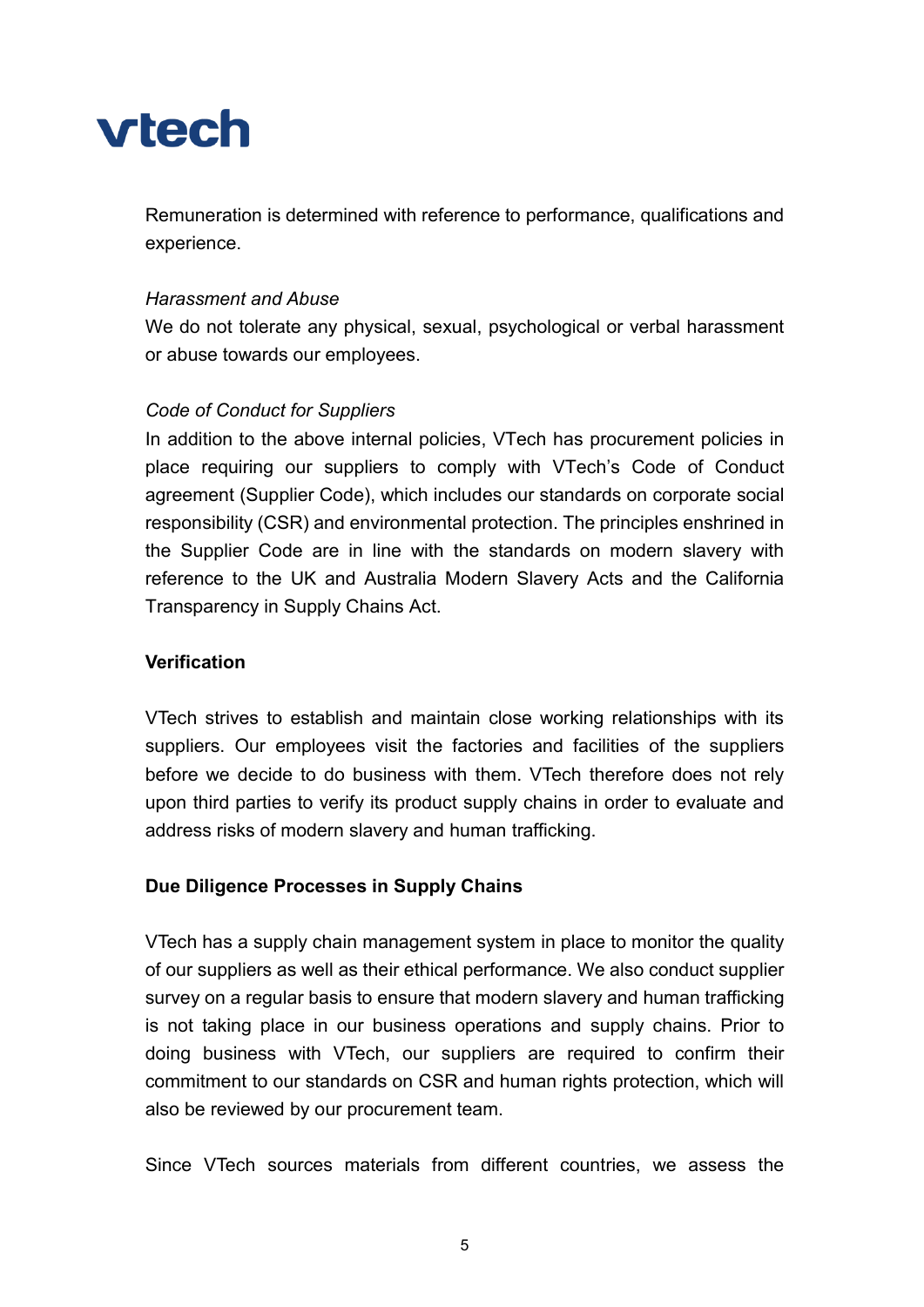

Remuneration is determined with reference to performance, qualifications and experience.

#### Harassment and Abuse

We do not tolerate any physical, sexual, psychological or verbal harassment or abuse towards our employees.

#### Code of Conduct for Suppliers

In addition to the above internal policies, VTech has procurement policies in place requiring our suppliers to comply with VTech's Code of Conduct agreement (Supplier Code), which includes our standards on corporate social responsibility (CSR) and environmental protection. The principles enshrined in the Supplier Code are in line with the standards on modern slavery with reference to the UK and Australia Modern Slavery Acts and the California Transparency in Supply Chains Act.

#### **Verification**

VTech strives to establish and maintain close working relationships with its suppliers. Our employees visit the factories and facilities of the suppliers before we decide to do business with them. VTech therefore does not rely upon third parties to verify its product supply chains in order to evaluate and address risks of modern slavery and human trafficking.

#### Due Diligence Processes in Supply Chains

VTech has a supply chain management system in place to monitor the quality of our suppliers as well as their ethical performance. We also conduct supplier survey on a regular basis to ensure that modern slavery and human trafficking is not taking place in our business operations and supply chains. Prior to doing business with VTech, our suppliers are required to confirm their commitment to our standards on CSR and human rights protection, which will also be reviewed by our procurement team.

Since VTech sources materials from different countries, we assess the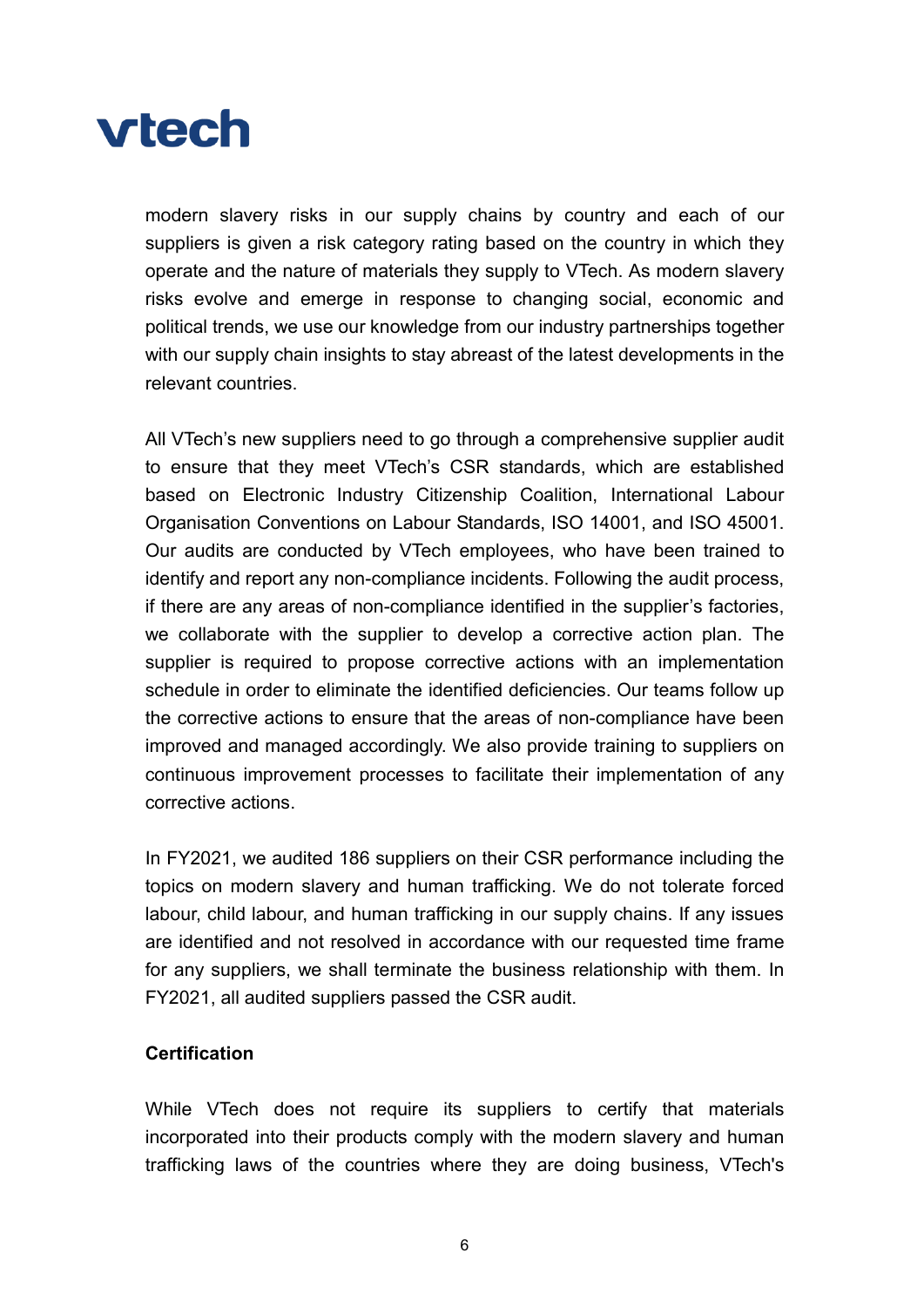

modern slavery risks in our supply chains by country and each of our suppliers is given a risk category rating based on the country in which they operate and the nature of materials they supply to VTech. As modern slavery risks evolve and emerge in response to changing social, economic and political trends, we use our knowledge from our industry partnerships together with our supply chain insights to stay abreast of the latest developments in the relevant countries.

All VTech's new suppliers need to go through a comprehensive supplier audit to ensure that they meet VTech's CSR standards, which are established based on Electronic Industry Citizenship Coalition, International Labour Organisation Conventions on Labour Standards, ISO 14001, and ISO 45001. Our audits are conducted by VTech employees, who have been trained to identify and report any non-compliance incidents. Following the audit process, if there are any areas of non-compliance identified in the supplier's factories, we collaborate with the supplier to develop a corrective action plan. The supplier is required to propose corrective actions with an implementation schedule in order to eliminate the identified deficiencies. Our teams follow up the corrective actions to ensure that the areas of non-compliance have been improved and managed accordingly. We also provide training to suppliers on continuous improvement processes to facilitate their implementation of any corrective actions.

In FY2021, we audited 186 suppliers on their CSR performance including the topics on modern slavery and human trafficking. We do not tolerate forced labour, child labour, and human trafficking in our supply chains. If any issues are identified and not resolved in accordance with our requested time frame for any suppliers, we shall terminate the business relationship with them. In FY2021, all audited suppliers passed the CSR audit.

#### **Certification**

While VTech does not require its suppliers to certify that materials incorporated into their products comply with the modern slavery and human trafficking laws of the countries where they are doing business, VTech's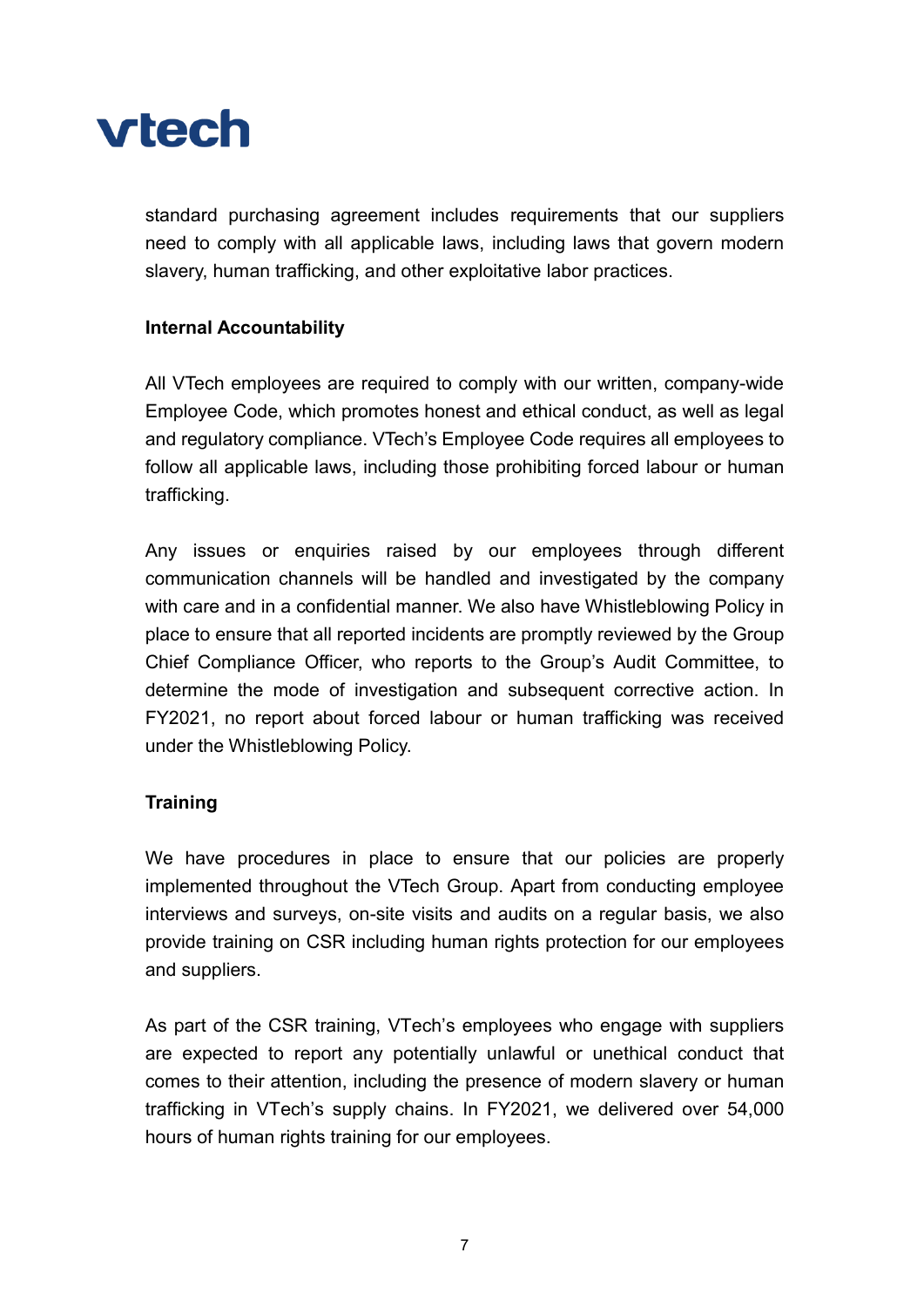

standard purchasing agreement includes requirements that our suppliers need to comply with all applicable laws, including laws that govern modern slavery, human trafficking, and other exploitative labor practices.

# Internal Accountability

All VTech employees are required to comply with our written, company-wide Employee Code, which promotes honest and ethical conduct, as well as legal and regulatory compliance. VTech's Employee Code requires all employees to follow all applicable laws, including those prohibiting forced labour or human trafficking.

Any issues or enquiries raised by our employees through different communication channels will be handled and investigated by the company with care and in a confidential manner. We also have Whistleblowing Policy in place to ensure that all reported incidents are promptly reviewed by the Group Chief Compliance Officer, who reports to the Group's Audit Committee, to determine the mode of investigation and subsequent corrective action. In FY2021, no report about forced labour or human trafficking was received under the Whistleblowing Policy.

# **Training**

We have procedures in place to ensure that our policies are properly implemented throughout the VTech Group. Apart from conducting employee interviews and surveys, on-site visits and audits on a regular basis, we also provide training on CSR including human rights protection for our employees and suppliers.

As part of the CSR training, VTech's employees who engage with suppliers are expected to report any potentially unlawful or unethical conduct that comes to their attention, including the presence of modern slavery or human trafficking in VTech's supply chains. In FY2021, we delivered over 54,000 hours of human rights training for our employees.